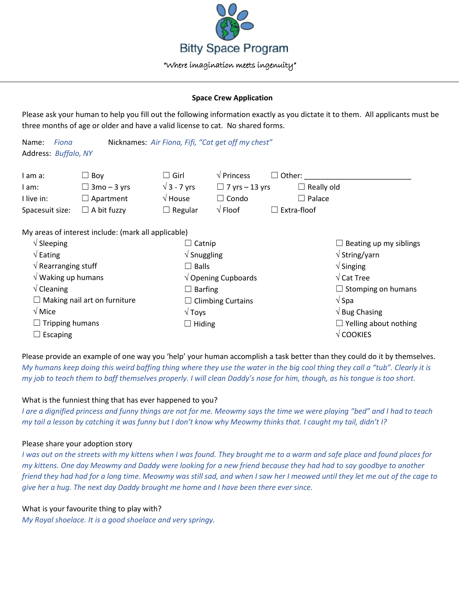

#### **Space Crew Application**

Please ask your human to help you fill out the following information exactly as you dictate it to them. All applicants must be three months of age or older and have a valid license to cat. No shared forms.

| Fiona<br>Name:<br>Address: Buffalo, NY | Nicknames: Air Fiona, Fifi, "Cat get off my chest"  |                                |                       |                                        |
|----------------------------------------|-----------------------------------------------------|--------------------------------|-----------------------|----------------------------------------|
| I am a:                                | $\Box$ Boy                                          | $\Box$ Girl                    | $\sqrt{P}$ Princess   | $\Box$ Other:                          |
| I am:                                  | $\Box$ 3mo – 3 yrs                                  | $\sqrt{3}$ - 7 yrs             | $\Box$ 7 yrs – 13 yrs | $\Box$ Really old                      |
| I live in:                             | $\Box$ Apartment                                    | $\sqrt{}$ House                | $\Box$ Condo          | $\Box$ Palace                          |
| Spacesuit size:                        | $\Box$ A bit fuzzy                                  | $\Box$ Regular                 | $\sqrt{}$ Floof       | Extra-floof<br>$\perp$                 |
|                                        | My areas of interest include: (mark all applicable) |                                |                       |                                        |
| $\sqrt{\phantom{a}}$ Sleeping          |                                                     | Catnip                         |                       | Beating up my siblings<br>ப            |
| $\sqrt{\mathsf{Eating}}$               |                                                     | $\sqrt{\frac{1}{2}}$ Snuggling |                       | $\sqrt{\mathsf{String}/\mathsf{yarn}}$ |
| $\sqrt{ }$ Rearranging stuff           |                                                     | $\Box$ Balls                   |                       | $\sqrt{\frac{1}{1}}$ Singing           |
| $\sqrt{}$ Waking up humans             |                                                     | $\sqrt{ }$ Opening Cupboards   |                       | $\sqrt{\text{Cat} \text{Tree}}$        |
| $\sqrt{\frac{1}{2}}$ Cleaning          |                                                     | $\Box$ Barfing                 |                       | $\Box$ Stomping on humans              |
| $\Box$ Making nail art on furniture    |                                                     | $\Box$ Climbing Curtains       |                       | $\sqrt{\mathsf{Spa}}$                  |

√ Toys  $\Box$  Hiding

Please provide an example of one way you 'help' your human accomplish a task better than they could do it by themselves. *My humans keep doing this weird baffing thing where they use the water in the big cool thing they call a "tub". Clearly it is my job to teach them to baff themselves properly. I will clean Daddy's nose for him, though, as his tongue is too short.*

√ Bug Chasing

√ COOKIES

 $\Box$  Yelling about nothing

# What is the funniest thing that has ever happened to you?

*I are a dignified princess and funny things are not for me. Meowmy says the time we were playing "bed" and I had to teach my tail a lesson by catching it was funny but I don't know why Meowmy thinks that. I caught my tail, didn't I?*

# Please share your adoption story

√ Mice

□ Escaping

 $\Box$  Tripping humans

*I was out on the streets with my kittens when I was found. They brought me to a warm and safe place and found places for my kittens. One day Meowmy and Daddy were looking for a new friend because they had had to say goodbye to another friend they had had for a long time. Meowmy was still sad, and when I saw her I meowed until they let me out of the cage to give her a hug. The next day Daddy brought me home and I have been there ever since.*

# What is your favourite thing to play with?

*My Royal shoelace. It is a good shoelace and very springy.*